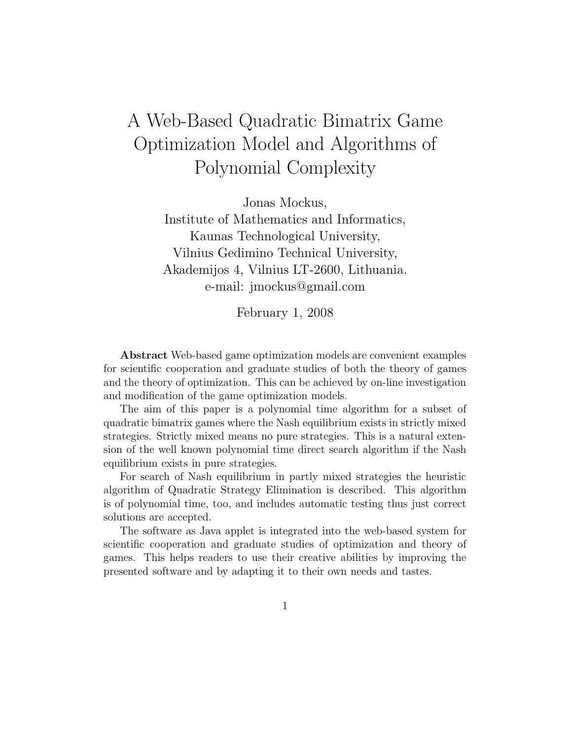# A Web-Based Quadratic Bimatrix Game Optimization Model and Algorithms of Polynomial Complexity

Jonas Mockus,

Institute of Mathematics and Informatics, Kaunas Technological University, Vilnius Gedimino Technical University, Akademijos 4, Vilnius LT-2600, Lithuania. e-mail: jmockus@gmail.com

February 1, 2008

Abstract Web-based game optimization models are convenient examples for scientific cooperation and graduate studies of both the theory of games and the theory of optimization. This can be achieved by on-line investigation and modification of the game optimization models.

The aim of this paper is a polynomial time algorithm for a subset of quadratic bimatrix games where the Nash equilibrium exists in strictly mixed strategies. Strictly mixed means no pure strategies. This is a natural extension of the well known polynomial time direct search algorithm if the Nash equilibrium exists in pure strategies.

For search of Nash equilibrium in partly mixed strategies the heuristic algorithm of Quadratic Strategy Elimination is described. This algorithm is of polynomial time, too, and includes automatic testing thus just correct solutions are accepted.

The software as Java applet is integrated into the web-based system for scientific cooperation and graduate studies of optimization and theory of games. This helps readers to use their creative abilities by improving the presented software and by adapting it to their own needs and tastes.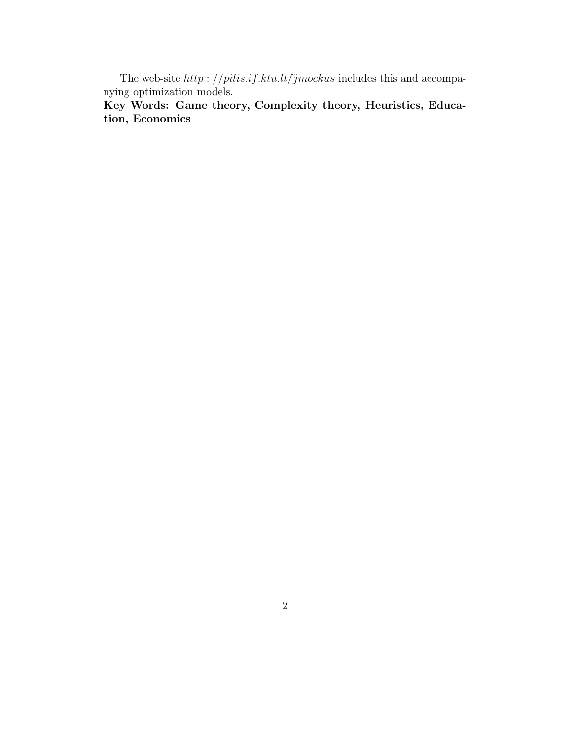The web-site  $http://pilis.if.ktu.lt/jmockus$  includes this and accompanying optimization models.

Key Words: Game theory, Complexity theory, Heuristics, Education, Economics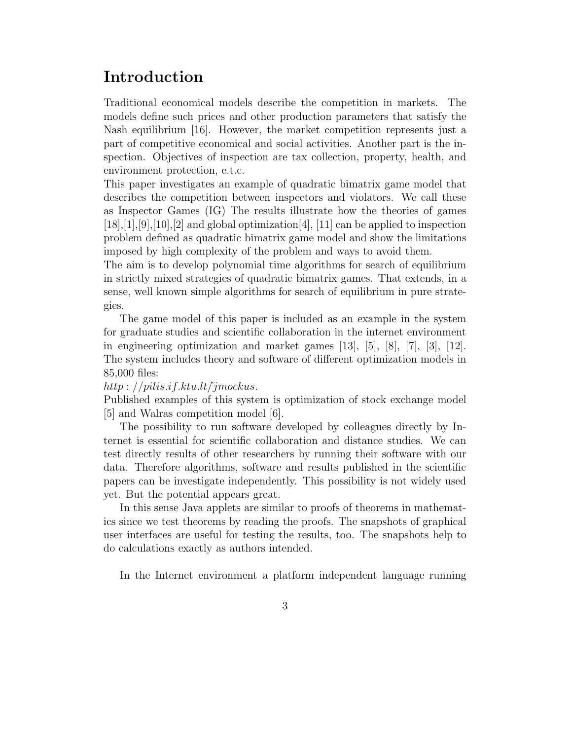## Introduction

Traditional economical models describe the competition in markets. The models define such prices and other production parameters that satisfy the Nash equilibrium [16]. However, the market competition represents just a part of competitive economical and social activities. Another part is the inspection. Objectives of inspection are tax collection, property, health, and environment protection, e.t.c.

This paper investigates an example of quadratic bimatrix game model that describes the competition between inspectors and violators. We call these as Inspector Games (IG) The results illustrate how the theories of games  $[18], [1], [9], [10], [2]$  and global optimization  $[4], [11]$  can be applied to inspection problem defined as quadratic bimatrix game model and show the limitations imposed by high complexity of the problem and ways to avoid them.

The aim is to develop polynomial time algorithms for search of equilibrium in strictly mixed strategies of quadratic bimatrix games. That extends, in a sense, well known simple algorithms for search of equilibrium in pure strategies.

The game model of this paper is included as an example in the system for graduate studies and scientific collaboration in the internet environment in engineering optimization and market games  $[13]$ ,  $[5]$ ,  $[8]$ ,  $[7]$ ,  $[3]$ ,  $[12]$ . The system includes theory and software of different optimization models in 85,000 files:

#### http :  $//pilis.i.f.ktu.lt/îmockus.$

Published examples of this system is optimization of stock exchange model [5] and Walras competition model [6].

The possibility to run software developed by colleagues directly by Internet is essential for scientific collaboration and distance studies. We can test directly results of other researchers by running their software with our data. Therefore algorithms, software and results published in the scientific papers can be investigate independently. This possibility is not widely used yet. But the potential appears great.

In this sense Java applets are similar to proofs of theorems in mathematics since we test theorems by reading the proofs. The snapshots of graphical user interfaces are useful for testing the results, too. The snapshots help to do calculations exactly as authors intended.

In the Internet environment a platform independent language running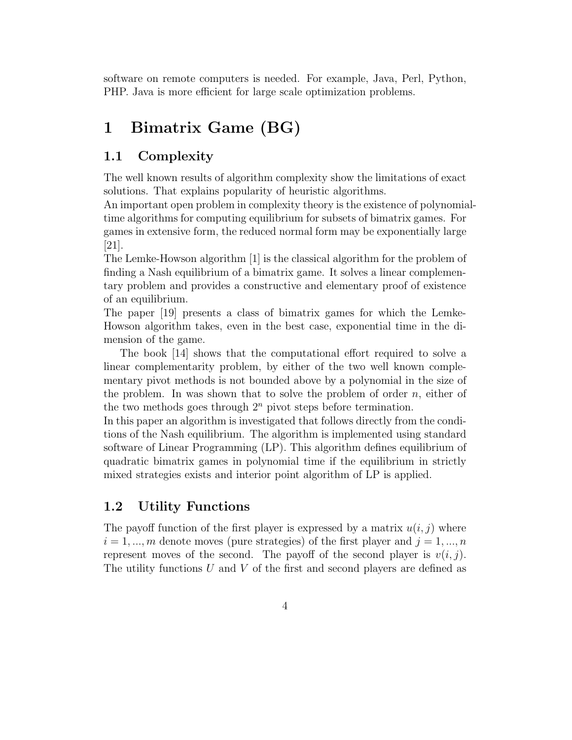software on remote computers is needed. For example, Java, Perl, Python, PHP. Java is more efficient for large scale optimization problems.

## 1 Bimatrix Game (BG)

### 1.1 Complexity

The well known results of algorithm complexity show the limitations of exact solutions. That explains popularity of heuristic algorithms.

An important open problem in complexity theory is the existence of polynomialtime algorithms for computing equilibrium for subsets of bimatrix games. For games in extensive form, the reduced normal form may be exponentially large [21].

The Lemke-Howson algorithm [1] is the classical algorithm for the problem of finding a Nash equilibrium of a bimatrix game. It solves a linear complementary problem and provides a constructive and elementary proof of existence of an equilibrium.

The paper [19] presents a class of bimatrix games for which the Lemke-Howson algorithm takes, even in the best case, exponential time in the dimension of the game.

The book [14] shows that the computational effort required to solve a linear complementarity problem, by either of the two well known complementary pivot methods is not bounded above by a polynomial in the size of the problem. In was shown that to solve the problem of order  $n$ , either of the two methods goes through  $2<sup>n</sup>$  pivot steps before termination.

In this paper an algorithm is investigated that follows directly from the conditions of the Nash equilibrium. The algorithm is implemented using standard software of Linear Programming (LP). This algorithm defines equilibrium of quadratic bimatrix games in polynomial time if the equilibrium in strictly mixed strategies exists and interior point algorithm of LP is applied.

### 1.2 Utility Functions

The payoff function of the first player is expressed by a matrix  $u(i, j)$  where  $i = 1, ..., m$  denote moves (pure strategies) of the first player and  $j = 1, ..., n$ represent moves of the second. The payoff of the second player is  $v(i, j)$ . The utility functions  $U$  and  $V$  of the first and second players are defined as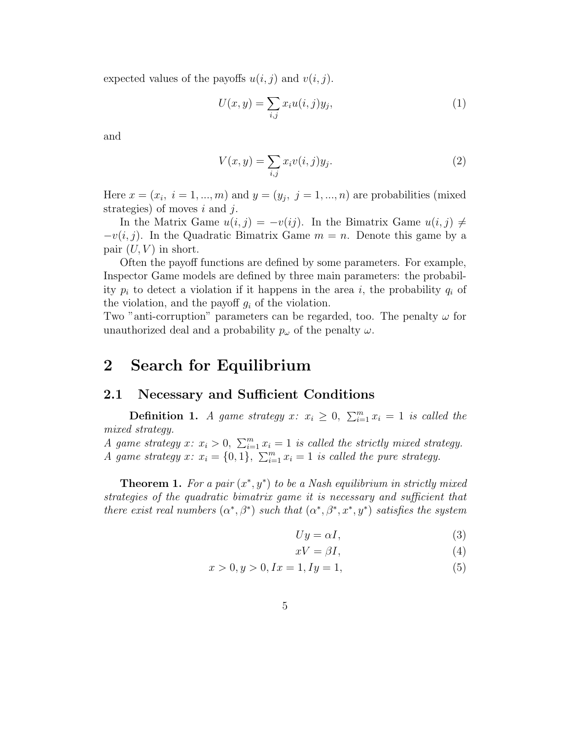expected values of the payoffs  $u(i, j)$  and  $v(i, j)$ .

$$
U(x,y) = \sum_{i,j} x_i u(i,j) y_j,
$$
\n<sup>(1)</sup>

and

$$
V(x,y) = \sum_{i,j} x_i v(i,j) y_j.
$$
\n<sup>(2)</sup>

Here  $x = (x_i, i = 1, ..., m)$  and  $y = (y_j, j = 1, ..., n)$  are probabilities (mixed strategies) of moves  $i$  and  $j$ .

In the Matrix Game  $u(i, j) = -v(ij)$ . In the Bimatrix Game  $u(i, j) \neq j$  $-v(i, j)$ . In the Quadratic Bimatrix Game  $m = n$ . Denote this game by a pair  $(U, V)$  in short.

Often the payoff functions are defined by some parameters. For example, Inspector Game models are defined by three main parameters: the probability  $p_i$  to detect a violation if it happens in the area i, the probability  $q_i$  of the violation, and the payoff  $g_i$  of the violation.

Two "anti-corruption" parameters can be regarded, too. The penalty  $\omega$  for unauthorized deal and a probability  $p_{\omega}$  of the penalty  $\omega$ .

## 2 Search for Equilibrium

#### 2.1 Necessary and Sufficient Conditions

**Definition 1.** A game strategy x:  $x_i \geq 0$ ,  $\sum_{i=1}^{m} x_i = 1$  is called the mixed strategy.

A game strategy x:  $x_i > 0$ ,  $\sum_{i=1}^m x_i = 1$  is called the strictly mixed strategy. A game strategy x:  $x_i = \{0, 1\}, \sum_{i=1}^m x_i = 1$  is called the pure strategy.

**Theorem 1.** For a pair  $(x^*, y^*)$  to be a Nash equilibrium in strictly mixed strategies of the quadratic bimatrix game it is necessary and sufficient that there exist real numbers  $(\alpha^*, \beta^*)$  such that  $(\alpha^*, \beta^*, x^*, y^*)$  satisfies the system

$$
Uy = \alpha I,\tag{3}
$$

$$
xV = \beta I,\tag{4}
$$

$$
x > 0, y > 0, Ix = 1, Iy = 1,
$$
\n<sup>(5)</sup>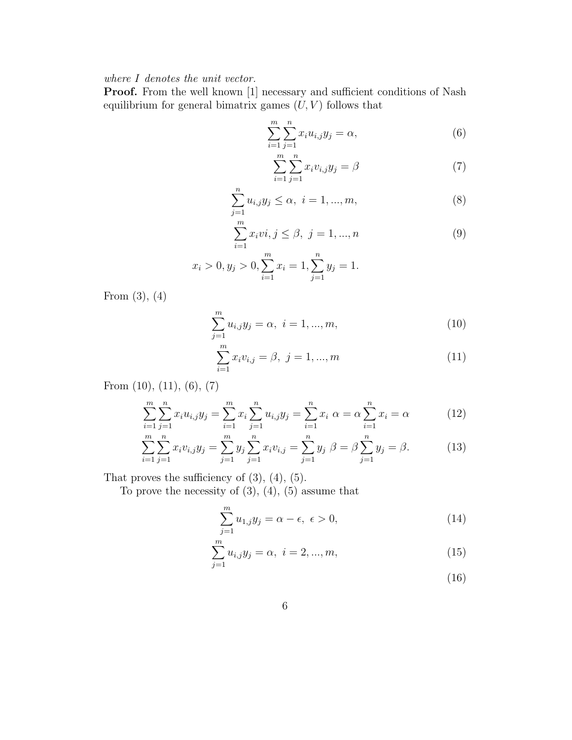where I denotes the unit vector.

Proof. From the well known [1] necessary and sufficient conditions of Nash equilibrium for general bimatrix games  $(U, V)$  follows that

$$
\sum_{i=1}^{m} \sum_{j=1}^{n} x_i u_{i,j} y_j = \alpha,
$$
\n(6)

$$
\sum_{i=1}^{m} \sum_{j=1}^{n} x_i v_{i,j} y_j = \beta \tag{7}
$$

$$
\sum_{j=1}^{n} u_{i,j} y_j \le \alpha, \ i = 1, ..., m,
$$
\n(8)

$$
\sum_{i=1}^{m} x_i v i, j \le \beta, \ j = 1, ..., n
$$
 (9)

$$
x_i > 0, y_j > 0, \sum_{i=1}^{m} x_i = 1, \sum_{j=1}^{n} y_j = 1.
$$

From (3), (4)

$$
\sum_{j=1}^{m} u_{i,j} y_j = \alpha, \ i = 1, ..., m,
$$
\n(10)

$$
\sum_{i=1}^{m} x_i v_{i,j} = \beta, \ j = 1, ..., m
$$
 (11)

From (10), (11), (6), (7)

$$
\sum_{i=1}^{m} \sum_{j=1}^{n} x_i u_{i,j} y_j = \sum_{i=1}^{m} x_i \sum_{j=1}^{n} u_{i,j} y_j = \sum_{i=1}^{n} x_i \alpha = \alpha \sum_{i=1}^{n} x_i = \alpha
$$
 (12)

$$
\sum_{i=1}^{m} \sum_{j=1}^{n} x_i v_{i,j} y_j = \sum_{j=1}^{m} y_j \sum_{j=1}^{n} x_i v_{i,j} = \sum_{j=1}^{n} y_j \beta = \beta \sum_{j=1}^{n} y_j = \beta.
$$
 (13)

That proves the sufficiency of  $(3)$ ,  $(4)$ ,  $(5)$ .

To prove the necessity of  $(3)$ ,  $(4)$ ,  $(5)$  assume that

$$
\sum_{j=1}^{m} u_{1,j} y_j = \alpha - \epsilon, \ \epsilon > 0,
$$
\n(14)

$$
\sum_{j=1}^{m} u_{i,j} y_j = \alpha, \ i = 2, ..., m,
$$
\n(15)

(16)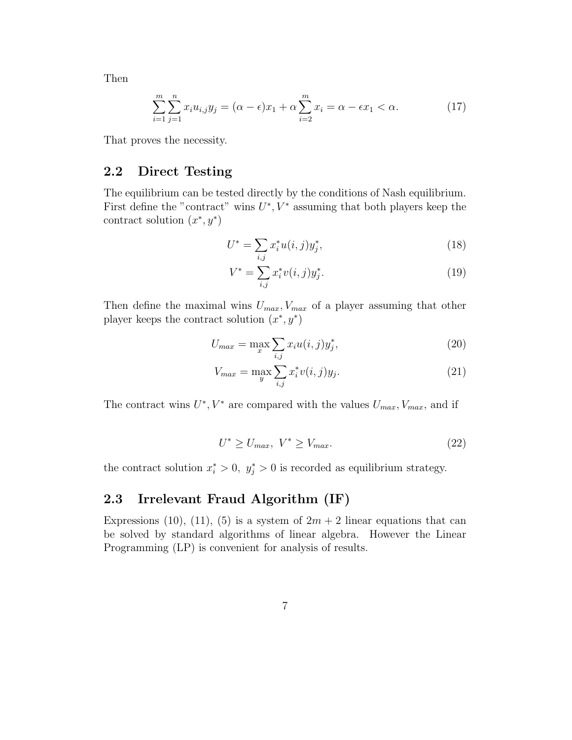Then

$$
\sum_{i=1}^{m} \sum_{j=1}^{n} x_i u_{i,j} y_j = (\alpha - \epsilon) x_1 + \alpha \sum_{i=2}^{m} x_i = \alpha - \epsilon x_1 < \alpha.
$$
 (17)

That proves the necessity.

### 2.2 Direct Testing

The equilibrium can be tested directly by the conditions of Nash equilibrium. First define the "contract" wins  $U^*$ ,  $V^*$  assuming that both players keep the contract solution  $(x^*, y^*)$ 

$$
U^* = \sum_{i,j} x_i^* u(i,j) y_j^*,\tag{18}
$$

$$
V^* = \sum_{i,j} x_i^* v(i,j) y_j^*.
$$
 (19)

Then define the maximal wins  $U_{max}$ ,  $V_{max}$  of a player assuming that other player keeps the contract solution  $(x^*, y^*)$ 

$$
U_{max} = \max_{x} \sum_{i,j} x_i u(i,j) y_j^*,
$$
\n(20)

$$
V_{max} = \max_{y} \sum_{i,j} x_i^* v(i,j) y_j.
$$
 (21)

The contract wins  $U^*$ ,  $V^*$  are compared with the values  $U_{max}$ ,  $V_{max}$ , and if

$$
U^* \ge U_{max}, \ V^* \ge V_{max}.\tag{22}
$$

the contract solution  $x_i^* > 0$ ,  $y_j^* > 0$  is recorded as equilibrium strategy.

#### 2.3 Irrelevant Fraud Algorithm (IF)

Expressions (10), (11), (5) is a system of  $2m + 2$  linear equations that can be solved by standard algorithms of linear algebra. However the Linear Programming (LP) is convenient for analysis of results.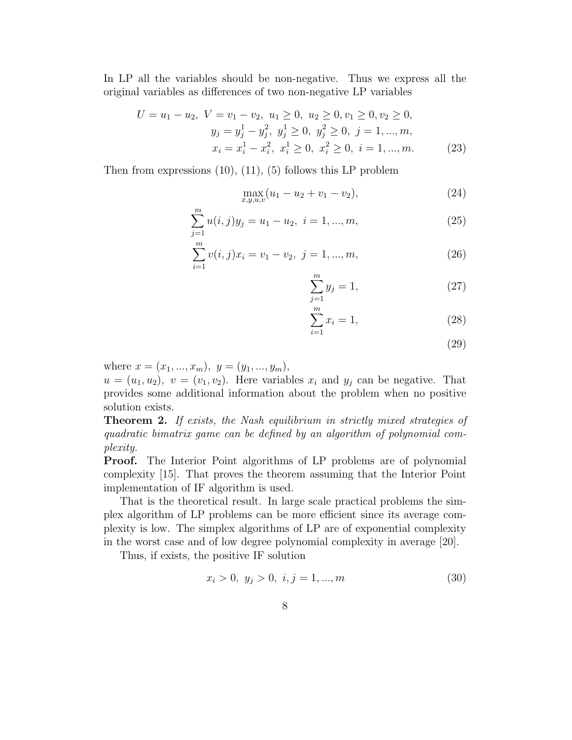In LP all the variables should be non-negative. Thus we express all the original variables as differences of two non-negative LP variables

$$
U = u_1 - u_2, \ V = v_1 - v_2, \ u_1 \ge 0, \ u_2 \ge 0, v_1 \ge 0, v_2 \ge 0,
$$
  

$$
y_j = y_j^1 - y_j^2, \ y_j^1 \ge 0, \ y_j^2 \ge 0, \ j = 1, ..., m,
$$
  

$$
x_i = x_i^1 - x_i^2, \ x_i^1 \ge 0, \ x_i^2 \ge 0, \ i = 1, ..., m.
$$
 (23)

Then from expressions  $(10)$ ,  $(11)$ ,  $(5)$  follows this LP problem

$$
\max_{x,y,u,v}(u_1 - u_2 + v_1 - v_2),\tag{24}
$$

$$
\sum_{j=1}^{m} u(i,j)y_j = u_1 - u_2, \ i = 1, ..., m,
$$
\n(25)

$$
\sum_{i=1}^{m} v(i,j)x_i = v_1 - v_2, \ j = 1, ..., m,
$$
\n(26)

$$
\sum_{j=1}^{m} y_j = 1,\t\t(27)
$$

$$
\sum_{i=1}^{m} x_i = 1,\t\t(28)
$$

(29)

where  $x = (x_1, ..., x_m), y = (y_1, ..., y_m),$ 

 $u = (u_1, u_2), v = (v_1, v_2)$ . Here variables  $x_i$  and  $y_j$  can be negative. That provides some additional information about the problem when no positive solution exists.

**Theorem 2.** If exists, the Nash equilibrium in strictly mixed strategies of quadratic bimatrix game can be defined by an algorithm of polynomial complexity.

Proof. The Interior Point algorithms of LP problems are of polynomial complexity [15]. That proves the theorem assuming that the Interior Point implementation of IF algorithm is used.

That is the theoretical result. In large scale practical problems the simplex algorithm of LP problems can be more efficient since its average complexity is low. The simplex algorithms of LP are of exponential complexity in the worst case and of low degree polynomial complexity in average [20].

Thus, if exists, the positive IF solution

$$
x_i > 0, y_j > 0, i, j = 1, ..., m
$$
\n(30)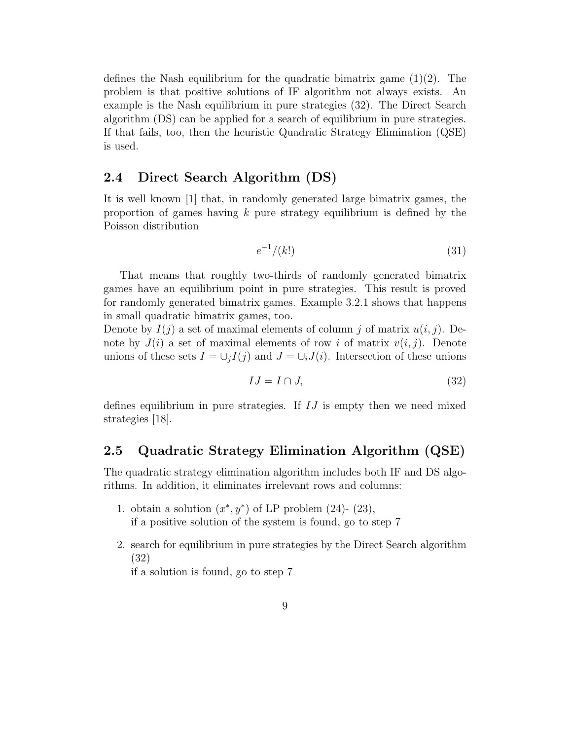defines the Nash equilibrium for the quadratic bimatrix game (1)(2). The problem is that positive solutions of IF algorithm not always exists. An example is the Nash equilibrium in pure strategies (32). The Direct Search algorithm (DS) can be applied for a search of equilibrium in pure strategies. If that fails, too, then the heuristic Quadratic Strategy Elimination (QSE) is used.

#### 2.4 Direct Search Algorithm (DS)

It is well known [1] that, in randomly generated large bimatrix games, the proportion of games having  $k$  pure strategy equilibrium is defined by the Poisson distribution

$$
e^{-1}/(k!) \tag{31}
$$

That means that roughly two-thirds of randomly generated bimatrix games have an equilibrium point in pure strategies. This result is proved for randomly generated bimatrix games. Example 3.2.1 shows that happens in small quadratic bimatrix games, too.

Denote by  $I(j)$  a set of maximal elements of column j of matrix  $u(i, j)$ . Denote by  $J(i)$  a set of maximal elements of row i of matrix  $v(i, j)$ . Denote unions of these sets  $I = \bigcup_i I(j)$  and  $J = \bigcup_i J(i)$ . Intersection of these unions

$$
IJ = I \cap J,\tag{32}
$$

defines equilibrium in pure strategies. If  $IJ$  is empty then we need mixed strategies [18].

### 2.5 Quadratic Strategy Elimination Algorithm (QSE)

The quadratic strategy elimination algorithm includes both IF and DS algorithms. In addition, it eliminates irrelevant rows and columns:

- 1. obtain a solution  $(x^*, y^*)$  of LP problem (24)- (23), if a positive solution of the system is found, go to step 7
- 2. search for equilibrium in pure strategies by the Direct Search algorithm (32)

if a solution is found, go to step 7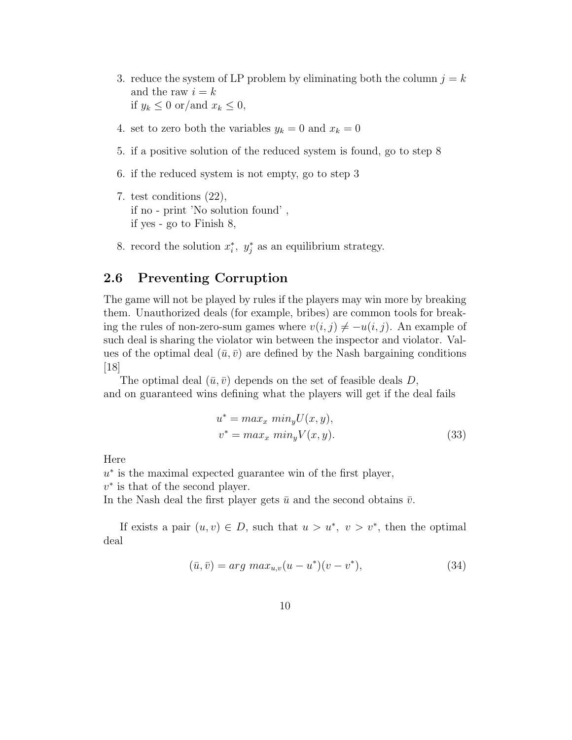- 3. reduce the system of LP problem by eliminating both the column  $j = k$ and the raw  $i = k$ if  $y_k \leq 0$  or/and  $x_k \leq 0$ ,
- 4. set to zero both the variables  $y_k = 0$  and  $x_k = 0$
- 5. if a positive solution of the reduced system is found, go to step 8
- 6. if the reduced system is not empty, go to step 3
- 7. test conditions (22), if no - print 'No solution found' , if yes - go to Finish 8,
- 8. record the solution  $x_i^*$ ,  $y_j^*$  as an equilibrium strategy.

#### 2.6 Preventing Corruption

The game will not be played by rules if the players may win more by breaking them. Unauthorized deals (for example, bribes) are common tools for breaking the rules of non-zero-sum games where  $v(i, j) \neq -u(i, j)$ . An example of such deal is sharing the violator win between the inspector and violator. Values of the optimal deal  $(\bar{u}, \bar{v})$  are defined by the Nash bargaining conditions  $|18|$ 

The optimal deal  $(\bar{u}, \bar{v})$  depends on the set of feasible deals D, and on guaranteed wins defining what the players will get if the deal fails

$$
u^* = \max_x \min_y U(x, y),
$$
  

$$
v^* = \max_x \min_y V(x, y).
$$
 (33)

Here

u<sup>\*</sup> is the maximal expected guarantee win of the first player,

 $v^*$  is that of the second player.

In the Nash deal the first player gets  $\bar{u}$  and the second obtains  $\bar{v}$ .

If exists a pair  $(u, v) \in D$ , such that  $u > u^*$ ,  $v > v^*$ , then the optimal deal

$$
(\bar{u}, \bar{v}) = arg \, max_{u,v}(u - u^*)(v - v^*), \tag{34}
$$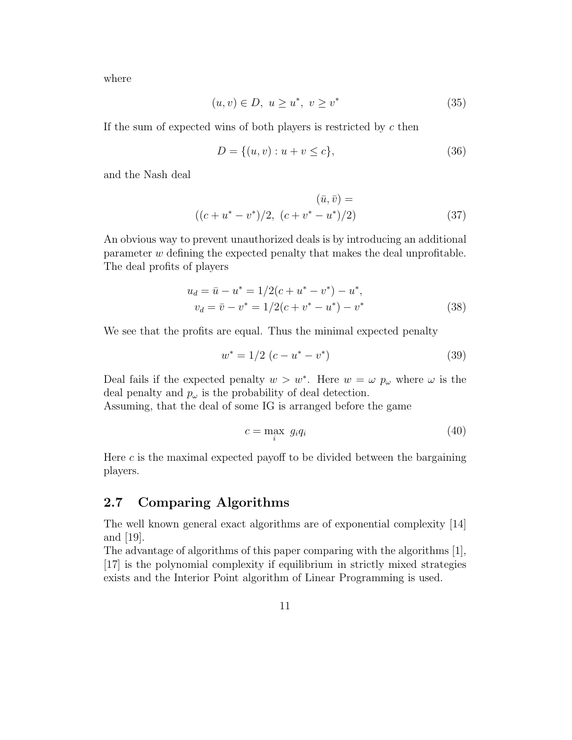where

$$
(u, v) \in D, \ u \ge u^*, \ v \ge v^* \tag{35}
$$

If the sum of expected wins of both players is restricted by  $c$  then

$$
D = \{(u, v) : u + v \le c\},\tag{36}
$$

and the Nash deal

$$
(\bar{u}, \bar{v}) =
$$
  

$$
((c + u^* - v^*)/2, (c + v^* - u^*)/2)
$$
 (37)

An obvious way to prevent unauthorized deals is by introducing an additional parameter w defining the expected penalty that makes the deal unprofitable. The deal profits of players

$$
u_d = \bar{u} - u^* = 1/2(c + u^* - v^*) - u^*,
$$
  

$$
v_d = \bar{v} - v^* = 1/2(c + v^* - u^*) - v^*
$$
 (38)

We see that the profits are equal. Thus the minimal expected penalty

$$
w^* = 1/2 (c - u^* - v^*)
$$
\n(39)

Deal fails if the expected penalty  $w > w^*$ . Here  $w = \omega p_\omega$  where  $\omega$  is the deal penalty and  $p_{\omega}$  is the probability of deal detection.

Assuming, that the deal of some IG is arranged before the game

$$
c = \max_{i} g_i q_i \tag{40}
$$

Here  $c$  is the maximal expected payoff to be divided between the bargaining players.

### 2.7 Comparing Algorithms

The well known general exact algorithms are of exponential complexity [14] and [19].

The advantage of algorithms of this paper comparing with the algorithms [1], [17] is the polynomial complexity if equilibrium in strictly mixed strategies exists and the Interior Point algorithm of Linear Programming is used.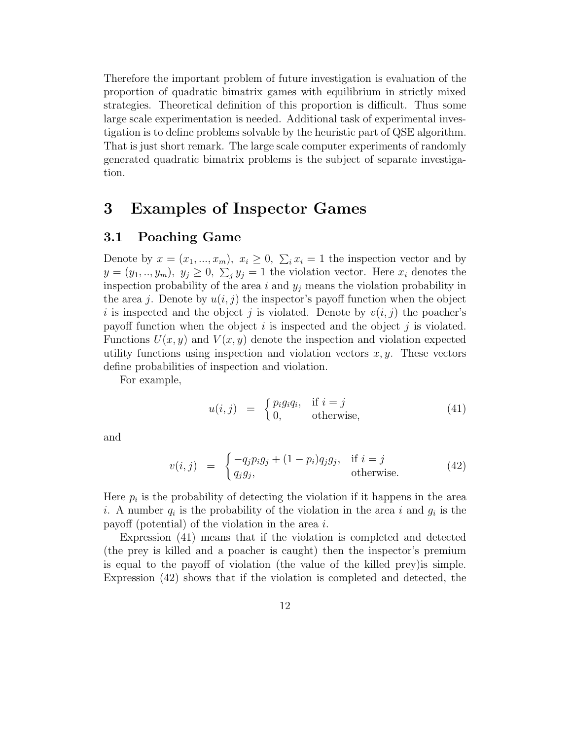Therefore the important problem of future investigation is evaluation of the proportion of quadratic bimatrix games with equilibrium in strictly mixed strategies. Theoretical definition of this proportion is difficult. Thus some large scale experimentation is needed. Additional task of experimental investigation is to define problems solvable by the heuristic part of QSE algorithm. That is just short remark. The large scale computer experiments of randomly generated quadratic bimatrix problems is the subject of separate investigation.

## 3 Examples of Inspector Games

#### 3.1 Poaching Game

Denote by  $x = (x_1, ..., x_m), x_i \ge 0, \sum_i x_i = 1$  the inspection vector and by  $y=(y_1,..,y_m), y_j\geq 0, \sum_j y_j=1$  the violation vector. Here  $x_i$  denotes the inspection probability of the area i and  $y_j$  means the violation probability in the area j. Denote by  $u(i, j)$  the inspector's payoff function when the object i is inspected and the object j is violated. Denote by  $v(i, j)$  the poacher's payoff function when the object  $i$  is inspected and the object  $j$  is violated. Functions  $U(x, y)$  and  $V(x, y)$  denote the inspection and violation expected utility functions using inspection and violation vectors  $x, y$ . These vectors define probabilities of inspection and violation.

For example,

$$
u(i,j) = \begin{cases} p_i g_i q_i, & \text{if } i = j \\ 0, & \text{otherwise,} \end{cases}
$$
 (41)

and

$$
v(i,j) = \begin{cases} -q_j p_i g_j + (1-p_i) q_j g_j, & \text{if } i = j \\ q_j g_j, & \text{otherwise.} \end{cases}
$$
(42)

Here  $p_i$  is the probability of detecting the violation if it happens in the area i. A number  $q_i$  is the probability of the violation in the area i and  $g_i$  is the payoff (potential) of the violation in the area  $i$ .

Expression (41) means that if the violation is completed and detected (the prey is killed and a poacher is caught) then the inspector's premium is equal to the payoff of violation (the value of the killed prey)is simple. Expression (42) shows that if the violation is completed and detected, the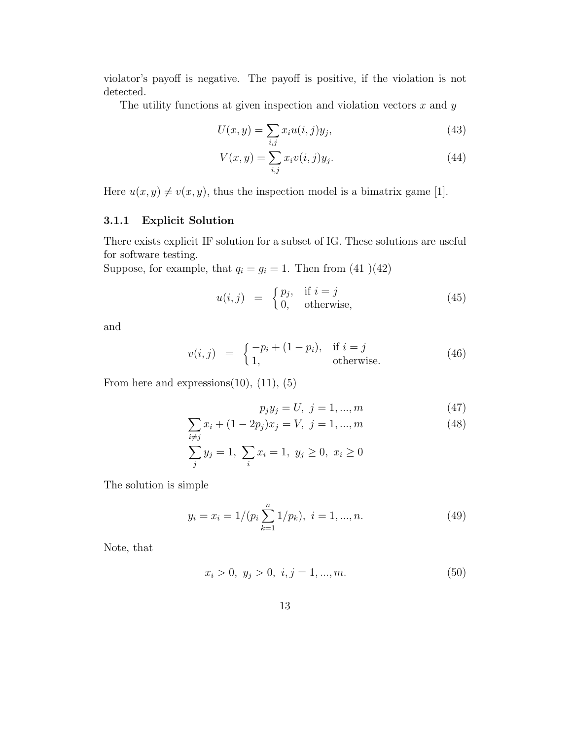violator's payoff is negative. The payoff is positive, if the violation is not detected.

The utility functions at given inspection and violation vectors  $x$  and  $y$ 

$$
U(x,y) = \sum_{i,j} x_i u(i,j) y_j,
$$
\n
$$
(43)
$$

$$
V(x,y) = \sum_{i,j} x_i v(i,j) y_j.
$$
\n
$$
(44)
$$

Here  $u(x, y) \neq v(x, y)$ , thus the inspection model is a bimatrix game [1].

#### 3.1.1 Explicit Solution

There exists explicit IF solution for a subset of IG. These solutions are useful for software testing.

Suppose, for example, that  $q_i = g_i = 1$ . Then from (41)(42)

$$
u(i,j) = \begin{cases} p_j, & \text{if } i = j \\ 0, & \text{otherwise,} \end{cases}
$$
 (45)

and

$$
v(i,j) = \begin{cases} -p_i + (1-p_i), & \text{if } i = j \\ 1, & \text{otherwise.} \end{cases}
$$
 (46)

From here and expressions $(10)$ ,  $(11)$ ,  $(5)$ 

$$
p_j y_j = U, \ j = 1, ..., m \tag{47}
$$

$$
\sum x_i + (1 - 2p_j)x_j = V, \ j = 1, ..., m
$$
\n(48)

$$
\sum_{j}^{i \neq j} y_j = 1, \ \sum_{i} x_i = 1, \ y_j \ge 0, \ x_i \ge 0
$$

The solution is simple

$$
y_i = x_i = 1/(p_i \sum_{k=1}^{n} 1/p_k), \ i = 1, ..., n.
$$
 (49)

Note, that

$$
x_i > 0, y_j > 0, i, j = 1, ..., m.
$$
\n(50)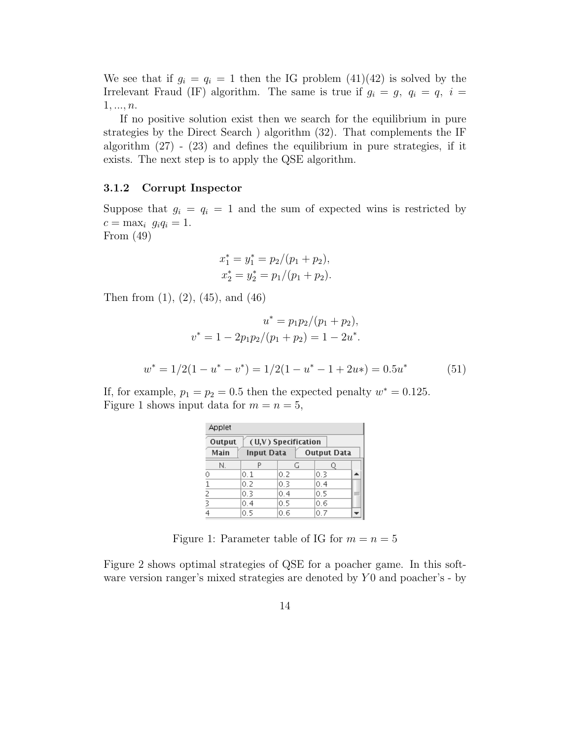We see that if  $g_i = q_i = 1$  then the IG problem (41)(42) is solved by the Irrelevant Fraud (IF) algorithm. The same is true if  $g_i = g$ ,  $q_i = q$ ,  $i =$  $1, ..., n$ .

If no positive solution exist then we search for the equilibrium in pure strategies by the Direct Search ) algorithm (32). That complements the IF algorithm  $(27)$  -  $(23)$  and defines the equilibrium in pure strategies, if it exists. The next step is to apply the QSE algorithm.

#### 3.1.2 Corrupt Inspector

Suppose that  $g_i = q_i = 1$  and the sum of expected wins is restricted by  $c = \max_i g_i q_i = 1.$ From (49)

$$
x_1^* = y_1^* = p_2/(p_1 + p_2),
$$
  

$$
x_2^* = y_2^* = p_1/(p_1 + p_2).
$$

Then from (1), (2), (45), and (46)

$$
u^* = p_1 p_2 / (p_1 + p_2),
$$
  
\n
$$
v^* = 1 - 2p_1 p_2 / (p_1 + p_2) = 1 - 2u^*.
$$
  
\n
$$
w^* = 1/2(1 - u^* - v^*) = 1/2(1 - u^* - 1 + 2u^*) = 0.5u^*
$$
\n(51)

If, for example,  $p_1 = p_2 = 0.5$  then the expected penalty  $w^* = 0.125$ . Figure 1 shows input data for  $m = n = 5$ ,

| Applet                                          |     |     |     |     |  |  |  |  |
|-------------------------------------------------|-----|-----|-----|-----|--|--|--|--|
| Output<br>(U,V) Specification                   |     |     |     |     |  |  |  |  |
| Main<br><b>Output Data</b><br><b>Input Data</b> |     |     |     |     |  |  |  |  |
| N.                                              |     | G   |     |     |  |  |  |  |
| 0                                               | 0.1 | 0.2 | 0.3 |     |  |  |  |  |
|                                                 | 0.2 | 0.3 | 0.4 |     |  |  |  |  |
| 2                                               | 0.3 | 0.4 | 0.5 | $=$ |  |  |  |  |
| 3                                               | 0.4 | 0.5 | 0.6 |     |  |  |  |  |
|                                                 | 0.5 | 0.6 | 0.7 |     |  |  |  |  |

Figure 1: Parameter table of IG for  $m = n = 5$ 

Figure 2 shows optimal strategies of QSE for a poacher game. In this software version ranger's mixed strategies are denoted by  $Y_0$  and poacher's - by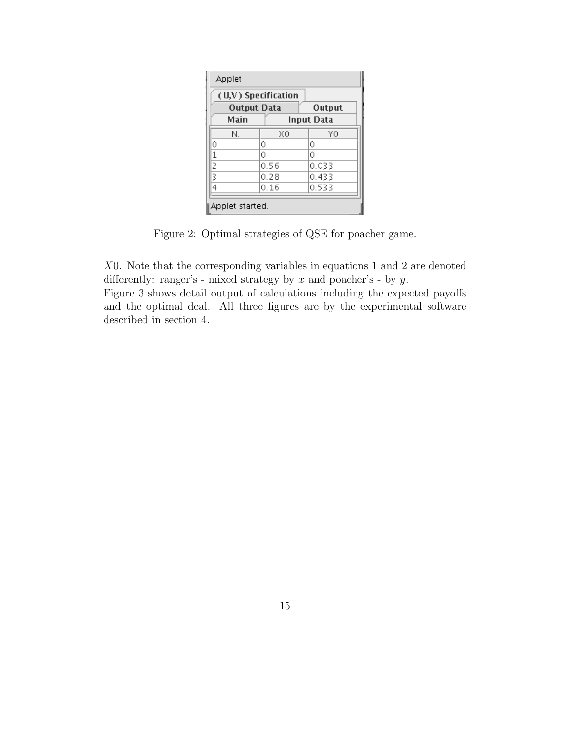| (U,V) Specification          |      |            |  |  |  |  |  |
|------------------------------|------|------------|--|--|--|--|--|
| <b>Output Data</b><br>Output |      |            |  |  |  |  |  |
| Main                         |      | Input Data |  |  |  |  |  |
| N.                           | ХO   | ΥO         |  |  |  |  |  |
| Ō                            | 0    | 0          |  |  |  |  |  |
| 1                            | 0    | 0          |  |  |  |  |  |
| 2                            | 0.56 | 0.033      |  |  |  |  |  |
| 3                            | 0.28 | 0.433      |  |  |  |  |  |
| 4                            | 0.16 | 0.533      |  |  |  |  |  |

Figure 2: Optimal strategies of QSE for poacher game.

X0. Note that the corresponding variables in equations 1 and 2 are denoted differently: ranger's - mixed strategy by  $x$  and poacher's - by  $y$ .

Figure 3 shows detail output of calculations including the expected payoffs and the optimal deal. All three figures are by the experimental software described in section 4.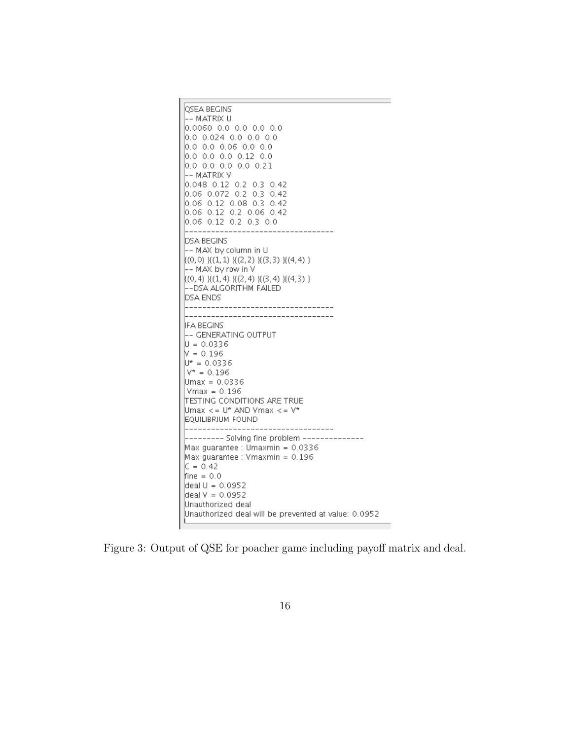

Figure 3: Output of QSE for poacher game including payoff matrix and deal.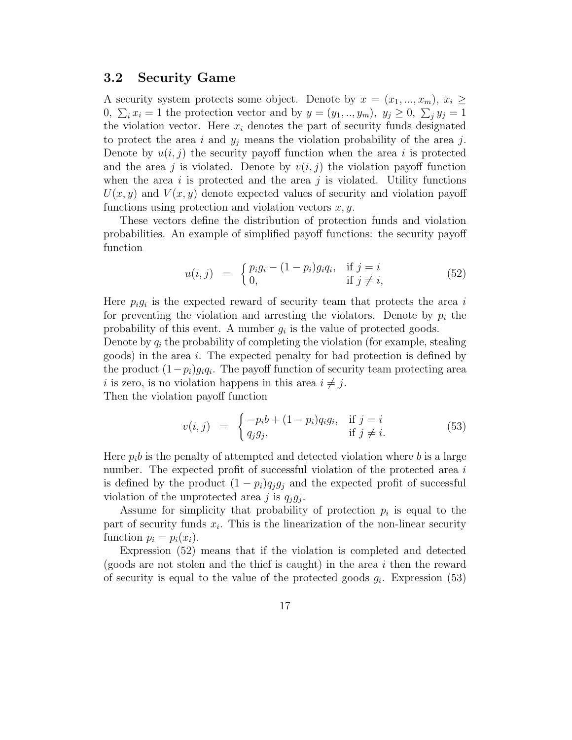#### 3.2 Security Game

A security system protects some object. Denote by  $x = (x_1, ..., x_m), x_i \geq$ 0,  $\sum_i x_i = 1$  the protection vector and by  $y = (y_1, ..., y_m)$ ,  $y_j \ge 0$ ,  $\sum_j y_j = 1$ the violation vector. Here  $x_i$  denotes the part of security funds designated to protect the area i and  $y_j$  means the violation probability of the area j. Denote by  $u(i, j)$  the security payoff function when the area i is protected and the area j is violated. Denote by  $v(i, j)$  the violation payoff function when the area i is protected and the area j is violated. Utility functions  $U(x, y)$  and  $V(x, y)$  denote expected values of security and violation payoff functions using protection and violation vectors  $x, y$ .

These vectors define the distribution of protection funds and violation probabilities. An example of simplified payoff functions: the security payoff function

$$
u(i,j) = \begin{cases} p_i g_i - (1-p_i) g_i q_i, & \text{if } j = i \\ 0, & \text{if } j \neq i, \end{cases}
$$
 (52)

Here  $p_i g_i$  is the expected reward of security team that protects the area i for preventing the violation and arresting the violators. Denote by  $p_i$  the probability of this event. A number  $g_i$  is the value of protected goods.

Denote by  $q_i$  the probability of completing the violation (for example, stealing goods) in the area i. The expected penalty for bad protection is defined by the product  $(1-p_i)g_iq_i$ . The payoff function of security team protecting area i is zero, is no violation happens in this area  $i \neq j$ . Then the violation payoff function

$$
v(i,j) = \begin{cases} -p_i b + (1-p_i) q_i g_i, & \text{if } j = i \\ q_j g_j, & \text{if } j \neq i. \end{cases}
$$
(53)

Here  $p_i b$  is the penalty of attempted and detected violation where b is a large number. The expected profit of successful violation of the protected area i is defined by the product  $(1 - p_i)q_i g_i$  and the expected profit of successful violation of the unprotected area j is  $q_j g_j$ .

Assume for simplicity that probability of protection  $p_i$  is equal to the part of security funds  $x_i$ . This is the linearization of the non-linear security function  $p_i = p_i(x_i)$ .

Expression (52) means that if the violation is completed and detected (goods are not stolen and the thief is caught) in the area  $i$  then the reward of security is equal to the value of the protected goods  $g_i$ . Expression (53)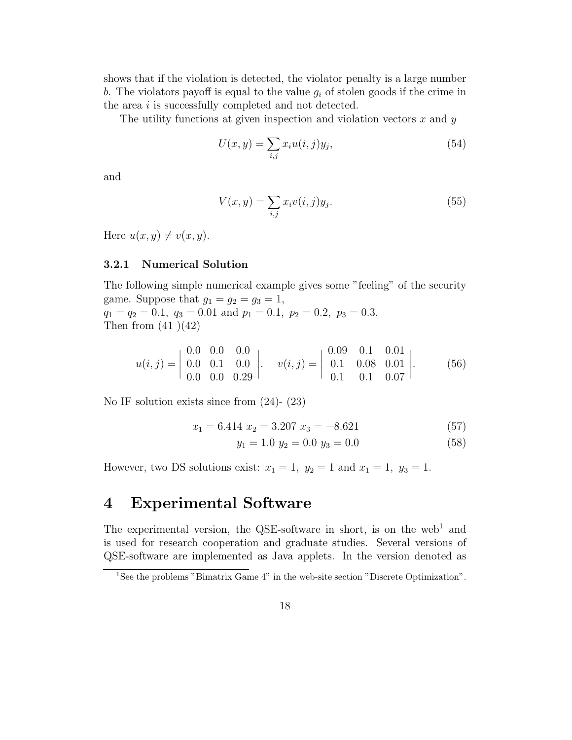shows that if the violation is detected, the violator penalty is a large number b. The violators payoff is equal to the value  $g_i$  of stolen goods if the crime in the area i is successfully completed and not detected.

The utility functions at given inspection and violation vectors  $x$  and  $y$ 

$$
U(x,y) = \sum_{i,j} x_i u(i,j) y_j,
$$
\n
$$
(54)
$$

and

$$
V(x,y) = \sum_{i,j} x_i v(i,j) y_j.
$$
\n
$$
(55)
$$

Here  $u(x, y) \neq v(x, y)$ .

#### 3.2.1 Numerical Solution

The following simple numerical example gives some "feeling" of the security game. Suppose that  $g_1 = g_2 = g_3 = 1$ ,  $q_1 = q_2 = 0.1$ ,  $q_3 = 0.01$  and  $p_1 = 0.1$ ,  $p_2 = 0.2$ ,  $p_3 = 0.3$ . Then from  $(41)(42)$ 

$$
u(i,j) = \begin{vmatrix} 0.0 & 0.0 & 0.0 \\ 0.0 & 0.1 & 0.0 \\ 0.0 & 0.0 & 0.29 \end{vmatrix}, \quad v(i,j) = \begin{vmatrix} 0.09 & 0.1 & 0.01 \\ 0.1 & 0.08 & 0.01 \\ 0.1 & 0.1 & 0.07 \end{vmatrix}, \tag{56}
$$

No IF solution exists since from (24)- (23)

$$
x_1 = 6.414 \ x_2 = 3.207 \ x_3 = -8.621 \tag{57}
$$

$$
y_1 = 1.0 \ y_2 = 0.0 \ y_3 = 0.0 \tag{58}
$$

However, two DS solutions exist:  $x_1 = 1$ ,  $y_2 = 1$  and  $x_1 = 1$ ,  $y_3 = 1$ .

## 4 Experimental Software

The experimental version, the QSE-software in short, is on the web<sup>1</sup> and is used for research cooperation and graduate studies. Several versions of QSE-software are implemented as Java applets. In the version denoted as

<sup>&</sup>lt;sup>1</sup>See the problems "Bimatrix Game 4" in the web-site section "Discrete Optimization".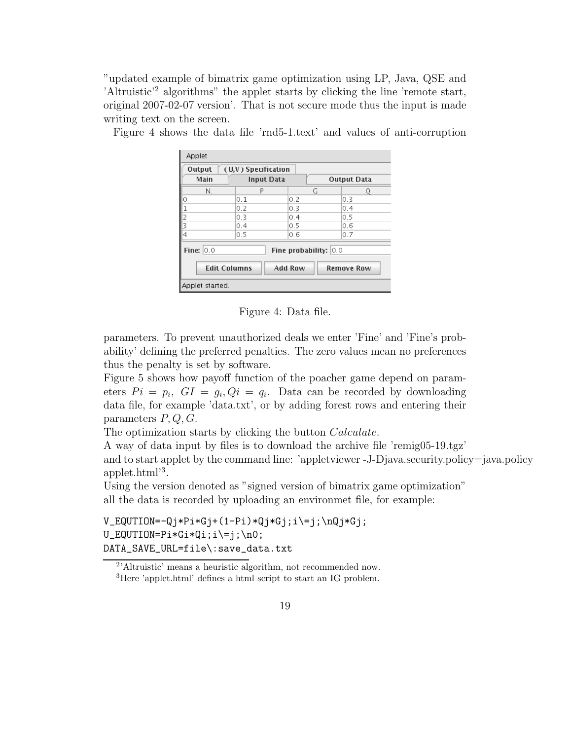"updated example of bimatrix game optimization using LP, Java, QSE and 'Altruistic'<sup>2</sup> algorithms" the applet starts by clicking the line 'remote start, original 2007-02-07 version'. That is not secure mode thus the input is made writing text on the screen.

| Applet                                                                                                  |                     |     |                    |  |  |  |  |
|---------------------------------------------------------------------------------------------------------|---------------------|-----|--------------------|--|--|--|--|
| Output                                                                                                  | (U,V) Specification |     |                    |  |  |  |  |
| Main                                                                                                    | <b>Input Data</b>   |     | <b>Output Data</b> |  |  |  |  |
| N.                                                                                                      | P                   | G   | Ω                  |  |  |  |  |
| 0                                                                                                       | 0.1                 | 0.2 | 0.3                |  |  |  |  |
|                                                                                                         | 0.2                 | 0.3 | 0.4                |  |  |  |  |
| $\frac{1}{2}$                                                                                           | 0.3                 | 0.4 | 0.5                |  |  |  |  |
|                                                                                                         | 0.4                 | 0.5 | 0.6                |  |  |  |  |
| $\overline{4}$                                                                                          | 0.5                 | 0.6 | 0.7                |  |  |  |  |
| Fine: $ 0,0 $<br>Fine probability: $ 0.0$<br><b>Edit Columns</b><br><b>Add Row</b><br><b>Remove Row</b> |                     |     |                    |  |  |  |  |
| Applet started.                                                                                         |                     |     |                    |  |  |  |  |

Figure 4 shows the data file 'rnd5-1.text' and values of anti-corruption

Figure 4: Data file.

parameters. To prevent unauthorized deals we enter 'Fine' and 'Fine's probability' defining the preferred penalties. The zero values mean no preferences thus the penalty is set by software.

Figure 5 shows how payoff function of the poacher game depend on parameters  $Pi = p_i$ ,  $GI = g_i$ ,  $Qi = q_i$ . Data can be recorded by downloading data file, for example 'data.txt', or by adding forest rows and entering their parameters  $P, Q, G$ .

The optimization starts by clicking the button *Calculate*.

A way of data input by files is to download the archive file 'remig05-19.tgz' and to start applet by the command line: 'appletviewer -J-Djava.security.policy=java.policy applet.html'<sup>3</sup> .

Using the version denoted as "signed version of bimatrix game optimization" all the data is recorded by uploading an environmet file, for example:

 $V_EQUTION=-Qj*Pi*Gj+(1-Pi)*Qj*Gj;i\=j;\nQj*Gj;$  $U_{EQUTION=Pi*Gi*Qi; i\=j;\n0;$ DATA\_SAVE\_URL=file\:save\_data.txt

<sup>2</sup> 'Altruistic' means a heuristic algorithm, not recommended now.

<sup>3</sup>Here 'applet.html' defines a html script to start an IG problem.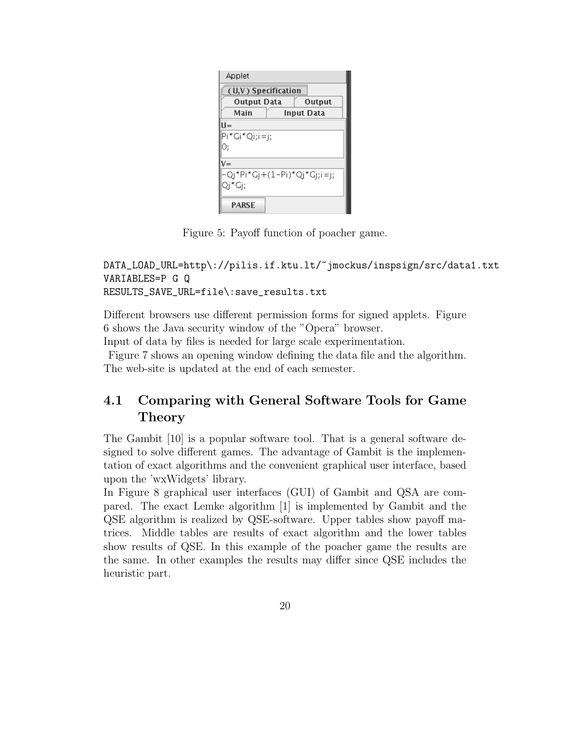| Applet                       |            |  |  |  |  |  |  |
|------------------------------|------------|--|--|--|--|--|--|
| (U,V) Specification          |            |  |  |  |  |  |  |
| <b>Output Data</b><br>Output |            |  |  |  |  |  |  |
| Main                         | Input Data |  |  |  |  |  |  |
| $II =$                       |            |  |  |  |  |  |  |
| Pi*Gi*Qi;i=j;                |            |  |  |  |  |  |  |
| О;                           |            |  |  |  |  |  |  |
| V=                           |            |  |  |  |  |  |  |
| -Qj*Pi*Gj+(1-Pi)*Qj*Gj;i=j;  |            |  |  |  |  |  |  |
| Qi*Gi;                       |            |  |  |  |  |  |  |
| PARSE                        |            |  |  |  |  |  |  |

Figure 5: Payoff function of poacher game.

```
DATA_LOAD_URL=http\://pilis.if.ktu.lt/~jmockus/inspsign/src/data1.txt
VARIABLES=P G Q
RESULTS_SAVE_URL=file\:save_results.txt
```
Different browsers use different permission forms for signed applets. Figure 6 shows the Java security window of the "Opera" browser.

Input of data by files is needed for large scale experimentation.

Figure 7 shows an opening window defining the data file and the algorithm. The web-site is updated at the end of each semester.

## 4.1 Comparing with General Software Tools for Game Theory

The Gambit [10] is a popular software tool. That is a general software designed to solve different games. The advantage of Gambit is the implementation of exact algorithms and the convenient graphical user interface, based upon the 'wxWidgets' library.

In Figure 8 graphical user interfaces (GUI) of Gambit and QSA are compared. The exact Lemke algorithm [1] is implemented by Gambit and the QSE algorithm is realized by QSE-software. Upper tables show payoff matrices. Middle tables are results of exact algorithm and the lower tables show results of QSE. In this example of the poacher game the results are the same. In other examples the results may differ since QSE includes the heuristic part.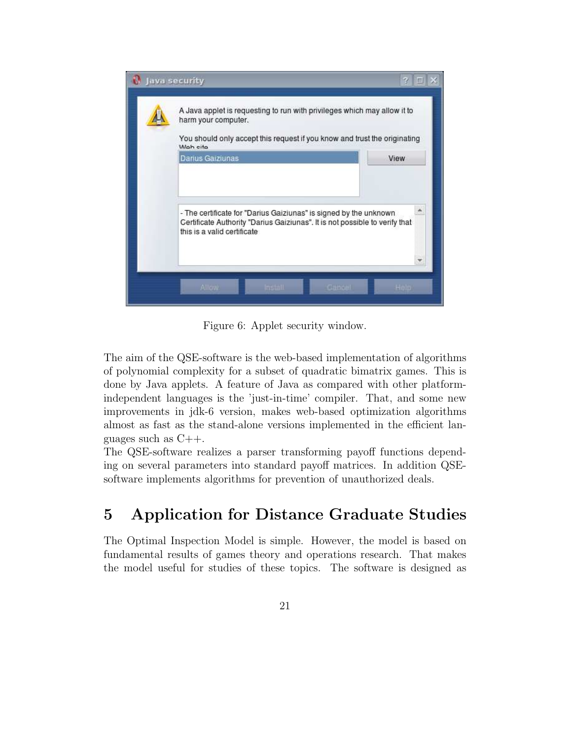

Figure 6: Applet security window.

The aim of the QSE-software is the web-based implementation of algorithms of polynomial complexity for a subset of quadratic bimatrix games. This is done by Java applets. A feature of Java as compared with other platformindependent languages is the 'just-in-time' compiler. That, and some new improvements in jdk-6 version, makes web-based optimization algorithms almost as fast as the stand-alone versions implemented in the efficient languages such as  $C_{++}$ .

The QSE-software realizes a parser transforming payoff functions depending on several parameters into standard payoff matrices. In addition QSEsoftware implements algorithms for prevention of unauthorized deals.

## 5 Application for Distance Graduate Studies

The Optimal Inspection Model is simple. However, the model is based on fundamental results of games theory and operations research. That makes the model useful for studies of these topics. The software is designed as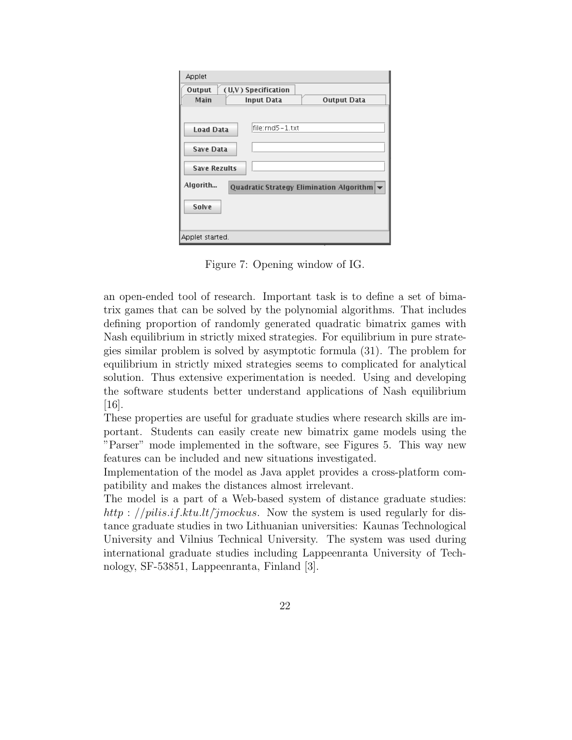| Applet                                                                           |                                                                       |                    |
|----------------------------------------------------------------------------------|-----------------------------------------------------------------------|--------------------|
| Output                                                                           | (U,V) Specification                                                   |                    |
| Main                                                                             | <b>Input Data</b>                                                     | <b>Output Data</b> |
| <b>Load Data</b><br><b>Save Data</b><br><b>Save Rezults</b><br>Algorith<br>Solve | lfile:rnd5 – 1.txt<br><b>Quadratic Strategy Elimination Algorithm</b> |                    |
| Applet started.                                                                  |                                                                       |                    |

Figure 7: Opening window of IG.

an open-ended tool of research. Important task is to define a set of bimatrix games that can be solved by the polynomial algorithms. That includes defining proportion of randomly generated quadratic bimatrix games with Nash equilibrium in strictly mixed strategies. For equilibrium in pure strategies similar problem is solved by asymptotic formula (31). The problem for equilibrium in strictly mixed strategies seems to complicated for analytical solution. Thus extensive experimentation is needed. Using and developing the software students better understand applications of Nash equilibrium [16].

These properties are useful for graduate studies where research skills are important. Students can easily create new bimatrix game models using the "Parser" mode implemented in the software, see Figures 5. This way new features can be included and new situations investigated.

Implementation of the model as Java applet provides a cross-platform compatibility and makes the distances almost irrelevant.

The model is a part of a Web-based system of distance graduate studies: http : //pilis.if.ktu.lt/ $\check{j}$ mockus. Now the system is used regularly for distance graduate studies in two Lithuanian universities: Kaunas Technological University and Vilnius Technical University. The system was used during international graduate studies including Lappeenranta University of Technology, SF-53851, Lappeenranta, Finland [3].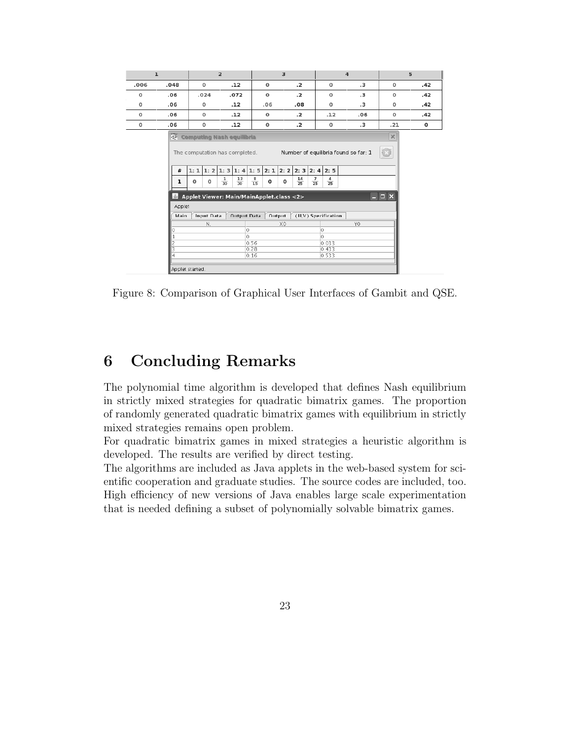|                                                                                                                                                                                                                                                                                                                                                                                                                                                                         | $\mathbf{1}$<br>$\overline{2}$ |                   |                    | $\overline{\mathbf{3}}$       |                |           |       |             | $\overline{4}$ |                      | 5           |     |
|-------------------------------------------------------------------------------------------------------------------------------------------------------------------------------------------------------------------------------------------------------------------------------------------------------------------------------------------------------------------------------------------------------------------------------------------------------------------------|--------------------------------|-------------------|--------------------|-------------------------------|----------------|-----------|-------|-------------|----------------|----------------------|-------------|-----|
| .006                                                                                                                                                                                                                                                                                                                                                                                                                                                                    | .048                           | o                 | .12                | o                             |                | $\cdot$ . |       | 0           |                | $\cdot$ <sub>3</sub> | 0           | .42 |
| $\Omega$                                                                                                                                                                                                                                                                                                                                                                                                                                                                | .06                            | .024              | .072               | $\Omega$                      |                | $\cdot$ . |       | 0           |                | $\cdot$ <sub>3</sub> | $\mathbf 0$ | .42 |
| $\mathbf 0$                                                                                                                                                                                                                                                                                                                                                                                                                                                             | .06                            | o                 | .12                | .06                           |                | .08       |       | 0           |                | $\cdot$ <sub>3</sub> | $\mathbf 0$ | .42 |
| $\mathbf 0$                                                                                                                                                                                                                                                                                                                                                                                                                                                             | .06                            | 0                 | .12                | 0                             |                | $\cdot$ . |       | .12         |                | .06                  | $\mathbf 0$ | .42 |
| $\mathbf 0$                                                                                                                                                                                                                                                                                                                                                                                                                                                             | .06                            | $\mathbf 0$       | .12                | 0                             |                | $\cdot$   |       | $\mathbf 0$ |                | .3                   | .21         | 0   |
| <b>Computing Nash equilibria</b><br>$\times$<br>$\left( \mathbb{C}\right)$<br>Number of equilibria found so far: 1<br>The computation has completed.<br>1: 1 1: 2 1: 3 1: 4 1: 5<br>2:1<br>2:2<br>2:3<br>2:4<br>2:5<br>#<br>13<br>$\frac{14}{25}$<br>$\frac{7}{25}$<br>$\frac{4}{25}$<br>$\frac{1}{30}$<br>$\frac{8}{15}$<br>$\mathbf 0$<br>$\Omega$<br>O<br>0<br>ı<br>$\overline{30}$<br>$ \Box$ $\times$<br>Applet Viewer: Main/MainApplet.class <2><br>$\frac{2}{2}$ |                                |                   |                    |                               |                |           |       |             |                |                      |             |     |
|                                                                                                                                                                                                                                                                                                                                                                                                                                                                         | Applet                         |                   |                    |                               |                |           |       |             |                |                      |             |     |
|                                                                                                                                                                                                                                                                                                                                                                                                                                                                         | Main                           | <b>Input Data</b> | <b>Output Data</b> | Output<br>(U,V) Specification |                |           |       |             |                |                      |             |     |
|                                                                                                                                                                                                                                                                                                                                                                                                                                                                         | 0                              | N.                |                    |                               | X <sup>0</sup> |           |       |             |                | Y0                   |             |     |
|                                                                                                                                                                                                                                                                                                                                                                                                                                                                         | $\mathbf{1}$                   | 0<br>0.           |                    |                               | 0<br>n.        |           |       |             |                |                      |             |     |
|                                                                                                                                                                                                                                                                                                                                                                                                                                                                         | $\overline{c}$                 |                   | 0.56               |                               |                |           | 0.033 |             |                |                      |             |     |
|                                                                                                                                                                                                                                                                                                                                                                                                                                                                         | 3                              |                   | 0.28               |                               |                | 0.433     |       |             |                |                      |             |     |
|                                                                                                                                                                                                                                                                                                                                                                                                                                                                         | $\overline{4}$                 | 0.16              |                    |                               |                |           |       | 0.533       |                |                      |             |     |
|                                                                                                                                                                                                                                                                                                                                                                                                                                                                         |                                | Applet started.   |                    |                               |                |           |       |             |                |                      |             |     |

Figure 8: Comparison of Graphical User Interfaces of Gambit and QSE.

## 6 Concluding Remarks

I

The polynomial time algorithm is developed that defines Nash equilibrium in strictly mixed strategies for quadratic bimatrix games. The proportion of randomly generated quadratic bimatrix games with equilibrium in strictly mixed strategies remains open problem.

For quadratic bimatrix games in mixed strategies a heuristic algorithm is developed. The results are verified by direct testing.

The algorithms are included as Java applets in the web-based system for scientific cooperation and graduate studies. The source codes are included, too. High efficiency of new versions of Java enables large scale experimentation that is needed defining a subset of polynomially solvable bimatrix games.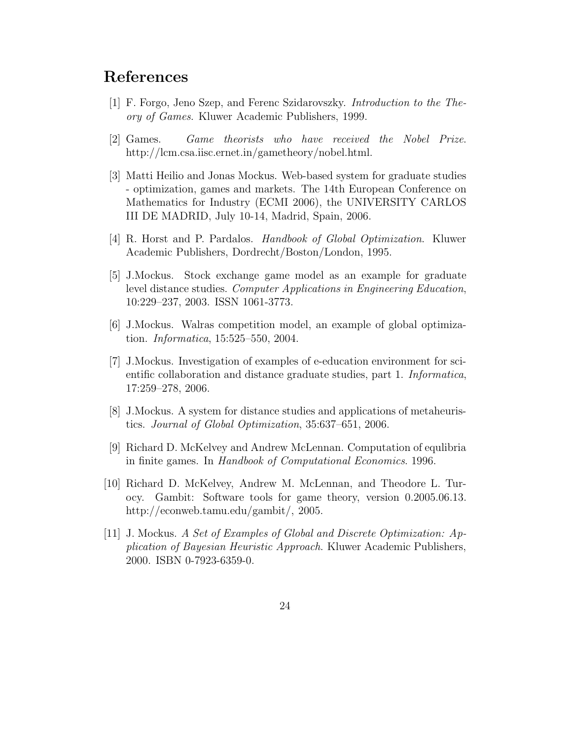## References

- [1] F. Forgo, Jeno Szep, and Ferenc Szidarovszky. Introduction to the Theory of Games. Kluwer Academic Publishers, 1999.
- [2] Games. Game theorists who have received the Nobel Prize. http://lcm.csa.iisc.ernet.in/gametheory/nobel.html.
- [3] Matti Heilio and Jonas Mockus. Web-based system for graduate studies - optimization, games and markets. The 14th European Conference on Mathematics for Industry (ECMI 2006), the UNIVERSITY CARLOS III DE MADRID, July 10-14, Madrid, Spain, 2006.
- [4] R. Horst and P. Pardalos. Handbook of Global Optimization. Kluwer Academic Publishers, Dordrecht/Boston/London, 1995.
- [5] J.Mockus. Stock exchange game model as an example for graduate level distance studies. Computer Applications in Engineering Education, 10:229–237, 2003. ISSN 1061-3773.
- [6] J.Mockus. Walras competition model, an example of global optimization. Informatica, 15:525–550, 2004.
- [7] J.Mockus. Investigation of examples of e-education environment for scientific collaboration and distance graduate studies, part 1. Informatica, 17:259–278, 2006.
- [8] J.Mockus. A system for distance studies and applications of metaheuristics. Journal of Global Optimization, 35:637–651, 2006.
- [9] Richard D. McKelvey and Andrew McLennan. Computation of equlibria in finite games. In Handbook of Computational Economics. 1996.
- [10] Richard D. McKelvey, Andrew M. McLennan, and Theodore L. Turocy. Gambit: Software tools for game theory, version 0.2005.06.13. http://econweb.tamu.edu/gambit/, 2005.
- [11] J. Mockus. A Set of Examples of Global and Discrete Optimization: Application of Bayesian Heuristic Approach. Kluwer Academic Publishers, 2000. ISBN 0-7923-6359-0.